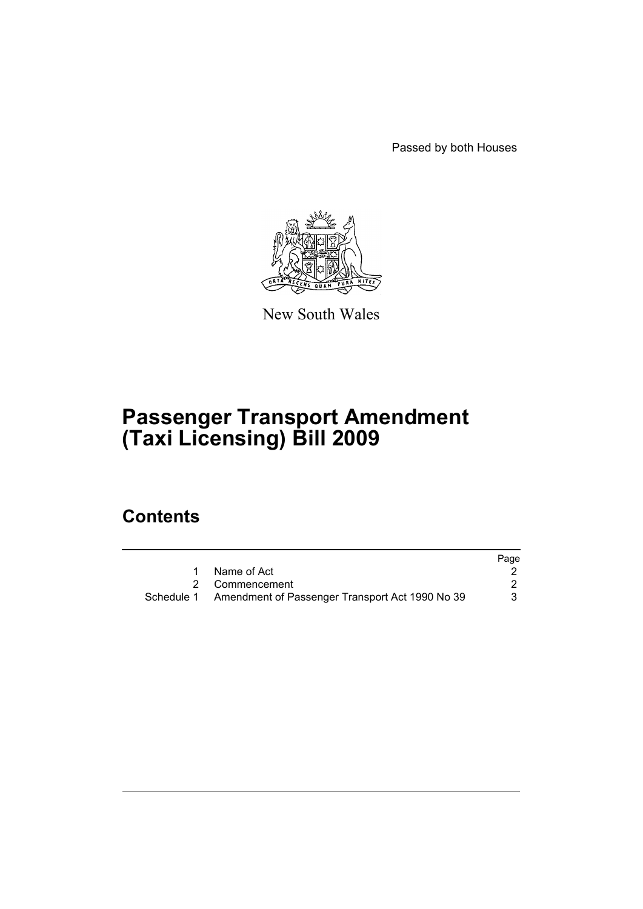Passed by both Houses



New South Wales

# **Passenger Transport Amendment (Taxi Licensing) Bill 2009**

# **Contents**

|                                                            | Page |
|------------------------------------------------------------|------|
| 1 Name of Act                                              |      |
| 2 Commencement                                             |      |
| Schedule 1 Amendment of Passenger Transport Act 1990 No 39 |      |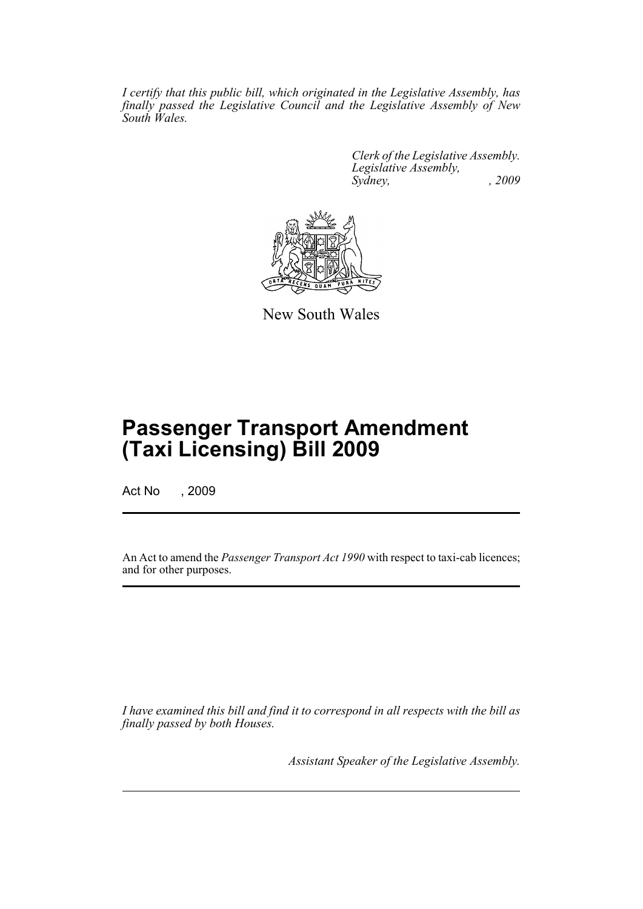*I certify that this public bill, which originated in the Legislative Assembly, has finally passed the Legislative Council and the Legislative Assembly of New South Wales.*

> *Clerk of the Legislative Assembly. Legislative Assembly, Sydney, , 2009*



New South Wales

# **Passenger Transport Amendment (Taxi Licensing) Bill 2009**

Act No , 2009

An Act to amend the *Passenger Transport Act 1990* with respect to taxi-cab licences; and for other purposes.

*I have examined this bill and find it to correspond in all respects with the bill as finally passed by both Houses.*

*Assistant Speaker of the Legislative Assembly.*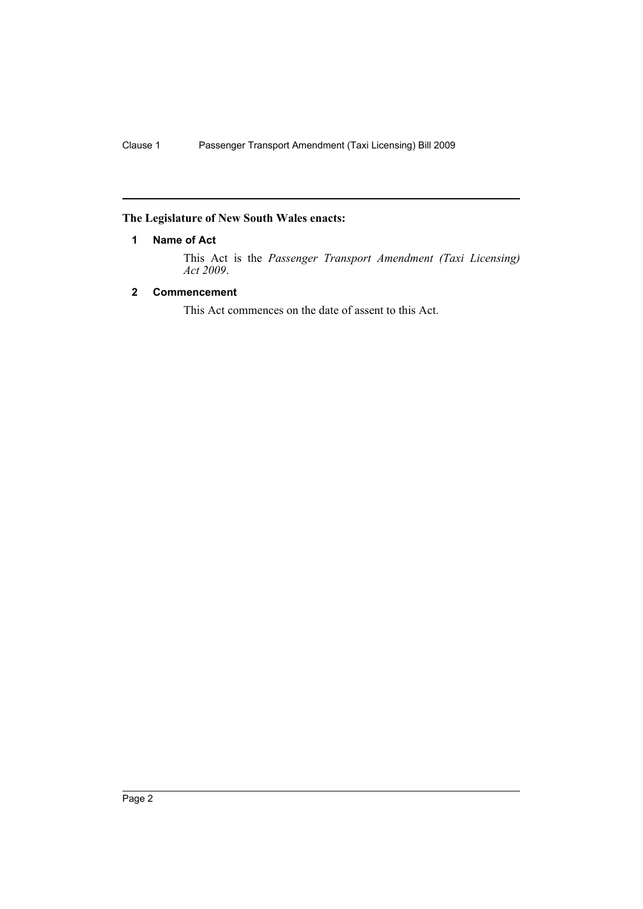# <span id="page-2-0"></span>**The Legislature of New South Wales enacts:**

# **1 Name of Act**

This Act is the *Passenger Transport Amendment (Taxi Licensing) Act 2009*.

# <span id="page-2-1"></span>**2 Commencement**

This Act commences on the date of assent to this Act.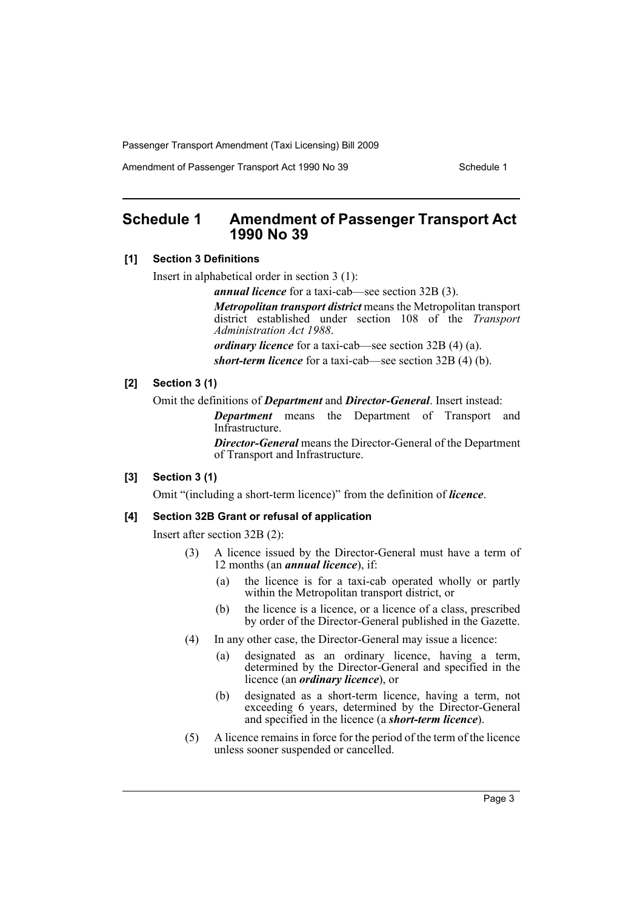Amendment of Passenger Transport Act 1990 No 39 Schedule 1

# <span id="page-3-0"></span>**Schedule 1 Amendment of Passenger Transport Act 1990 No 39**

### **[1] Section 3 Definitions**

Insert in alphabetical order in section 3 (1):

*annual licence* for a taxi-cab—see section 32B (3).

*Metropolitan transport district* means the Metropolitan transport district established under section 108 of the *Transport Administration Act 1988*.

*ordinary licence* for a taxi-cab—see section 32B (4) (a).

*short-term licence* for a taxi-cab—see section 32B (4) (b).

# **[2] Section 3 (1)**

Omit the definitions of *Department* and *Director-General*. Insert instead:

*Department* means the Department of Transport and Infrastructure.

*Director-General* means the Director-General of the Department of Transport and Infrastructure.

### **[3] Section 3 (1)**

Omit "(including a short-term licence)" from the definition of *licence*.

### **[4] Section 32B Grant or refusal of application**

Insert after section 32B (2):

- (3) A licence issued by the Director-General must have a term of 12 months (an *annual licence*), if:
	- (a) the licence is for a taxi-cab operated wholly or partly within the Metropolitan transport district, or
	- (b) the licence is a licence, or a licence of a class, prescribed by order of the Director-General published in the Gazette.
- (4) In any other case, the Director-General may issue a licence:
	- (a) designated as an ordinary licence, having a term, determined by the Director-General and specified in the licence (an *ordinary licence*), or
	- (b) designated as a short-term licence, having a term, not exceeding 6 years, determined by the Director-General and specified in the licence (a *short-term licence*).
- (5) A licence remains in force for the period of the term of the licence unless sooner suspended or cancelled.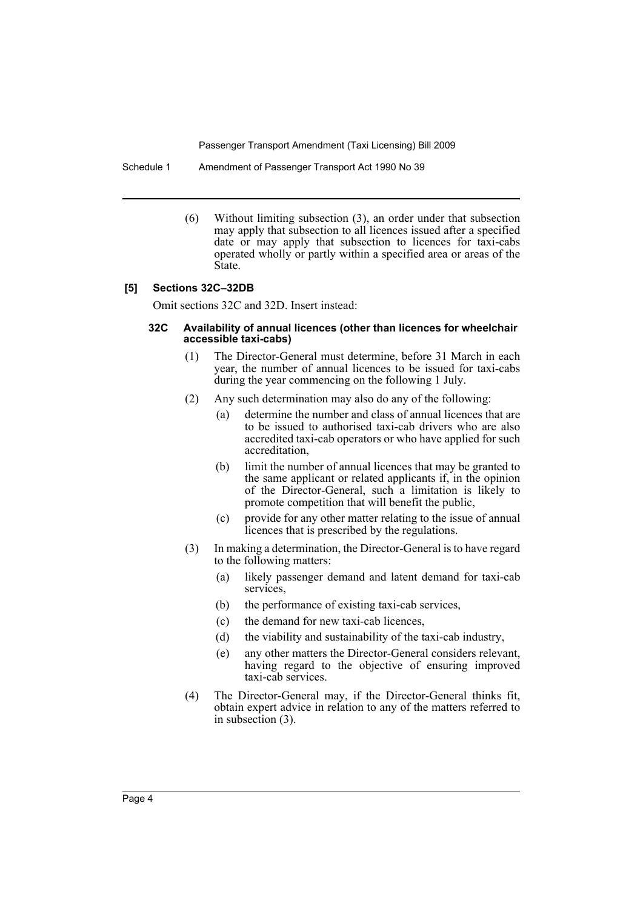Schedule 1 Amendment of Passenger Transport Act 1990 No 39

(6) Without limiting subsection (3), an order under that subsection may apply that subsection to all licences issued after a specified date or may apply that subsection to licences for taxi-cabs operated wholly or partly within a specified area or areas of the State.

### **[5] Sections 32C–32DB**

Omit sections 32C and 32D. Insert instead:

### **32C Availability of annual licences (other than licences for wheelchair accessible taxi-cabs)**

- (1) The Director-General must determine, before 31 March in each year, the number of annual licences to be issued for taxi-cabs during the year commencing on the following 1 July.
- (2) Any such determination may also do any of the following:
	- (a) determine the number and class of annual licences that are to be issued to authorised taxi-cab drivers who are also accredited taxi-cab operators or who have applied for such accreditation,
	- (b) limit the number of annual licences that may be granted to the same applicant or related applicants if, in the opinion of the Director-General, such a limitation is likely to promote competition that will benefit the public,
	- (c) provide for any other matter relating to the issue of annual licences that is prescribed by the regulations.
- (3) In making a determination, the Director-General is to have regard to the following matters:
	- (a) likely passenger demand and latent demand for taxi-cab services,
	- (b) the performance of existing taxi-cab services,
	- (c) the demand for new taxi-cab licences,
	- (d) the viability and sustainability of the taxi-cab industry,
	- (e) any other matters the Director-General considers relevant, having regard to the objective of ensuring improved taxi-cab services.
- (4) The Director-General may, if the Director-General thinks fit, obtain expert advice in relation to any of the matters referred to in subsection (3).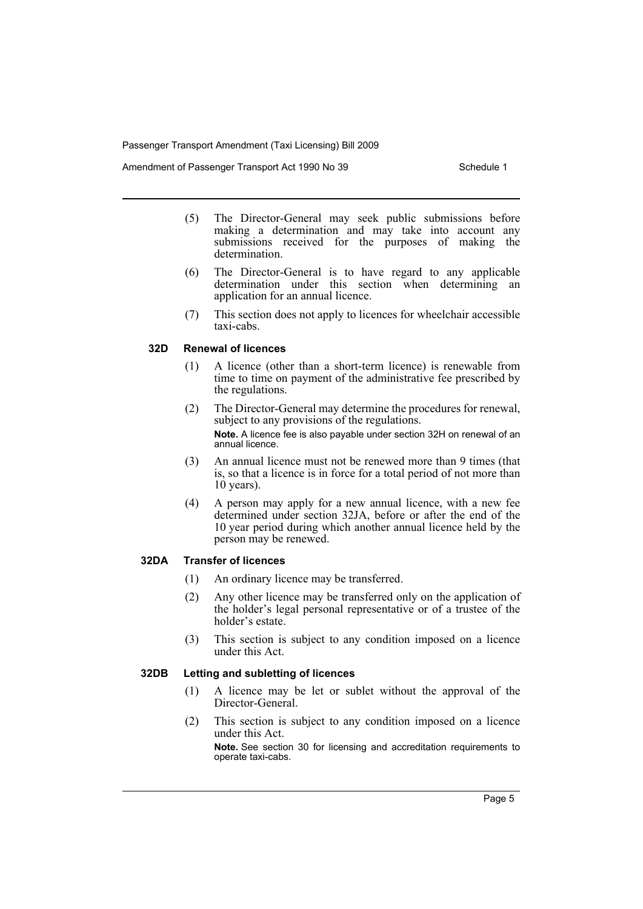Amendment of Passenger Transport Act 1990 No 39 Schedule 1

- (5) The Director-General may seek public submissions before making a determination and may take into account any submissions received for the purposes of making the determination.
- (6) The Director-General is to have regard to any applicable determination under this section when determining an application for an annual licence.
- (7) This section does not apply to licences for wheelchair accessible taxi-cabs.

# **32D Renewal of licences**

- (1) A licence (other than a short-term licence) is renewable from time to time on payment of the administrative fee prescribed by the regulations.
- (2) The Director-General may determine the procedures for renewal, subject to any provisions of the regulations. **Note.** A licence fee is also payable under section 32H on renewal of an annual licence.
- (3) An annual licence must not be renewed more than 9 times (that is, so that a licence is in force for a total period of not more than 10 years).
- (4) A person may apply for a new annual licence, with a new fee determined under section 32JA, before or after the end of the 10 year period during which another annual licence held by the person may be renewed.

### **32DA Transfer of licences**

- (1) An ordinary licence may be transferred.
- (2) Any other licence may be transferred only on the application of the holder's legal personal representative or of a trustee of the holder's estate.
- (3) This section is subject to any condition imposed on a licence under this Act.

### **32DB Letting and subletting of licences**

- (1) A licence may be let or sublet without the approval of the Director-General.
- (2) This section is subject to any condition imposed on a licence under this Act.

**Note.** See section 30 for licensing and accreditation requirements to operate taxi-cabs.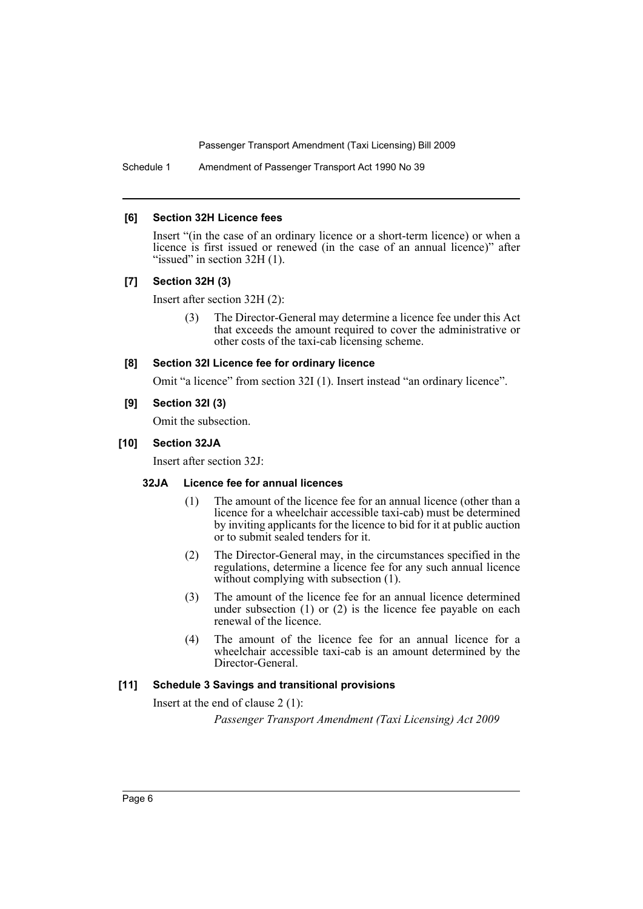Schedule 1 Amendment of Passenger Transport Act 1990 No 39

### **[6] Section 32H Licence fees**

Insert "(in the case of an ordinary licence or a short-term licence) or when a licence is first issued or renewed (in the case of an annual licence)" after "issued" in section  $32H(1)$ .

# **[7] Section 32H (3)**

Insert after section 32H (2):

(3) The Director-General may determine a licence fee under this Act that exceeds the amount required to cover the administrative or other costs of the taxi-cab licensing scheme.

### **[8] Section 32I Licence fee for ordinary licence**

Omit "a licence" from section 32I (1). Insert instead "an ordinary licence".

### **[9] Section 32I (3)**

Omit the subsection.

### **[10] Section 32JA**

Insert after section 32J:

# **32JA Licence fee for annual licences**

- (1) The amount of the licence fee for an annual licence (other than a licence for a wheelchair accessible taxi-cab) must be determined by inviting applicants for the licence to bid for it at public auction or to submit sealed tenders for it.
- (2) The Director-General may, in the circumstances specified in the regulations, determine a licence fee for any such annual licence without complying with subsection  $(1)$ .
- (3) The amount of the licence fee for an annual licence determined under subsection (1) or (2) is the licence fee payable on each renewal of the licence.
- (4) The amount of the licence fee for an annual licence for a wheelchair accessible taxi-cab is an amount determined by the Director-General.

# **[11] Schedule 3 Savings and transitional provisions**

Insert at the end of clause 2 (1):

*Passenger Transport Amendment (Taxi Licensing) Act 2009*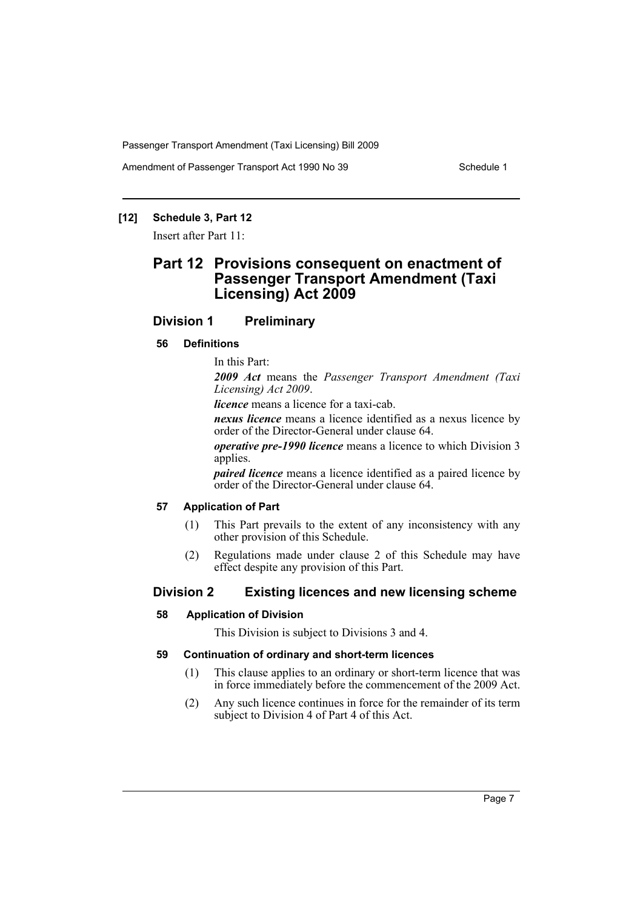Amendment of Passenger Transport Act 1990 No 39 Schedule 1

# **[12] Schedule 3, Part 12**

Insert after Part 11:

# **Part 12 Provisions consequent on enactment of Passenger Transport Amendment (Taxi Licensing) Act 2009**

# **Division 1 Preliminary**

### **56 Definitions**

In this Part:

*2009 Act* means the *Passenger Transport Amendment (Taxi Licensing) Act 2009*.

*licence* means a licence for a taxi-cab.

*nexus licence* means a licence identified as a nexus licence by order of the Director-General under clause 64.

*operative pre-1990 licence* means a licence to which Division 3 applies.

*paired licence* means a licence identified as a paired licence by order of the Director-General under clause 64.

# **57 Application of Part**

- (1) This Part prevails to the extent of any inconsistency with any other provision of this Schedule.
- (2) Regulations made under clause 2 of this Schedule may have effect despite any provision of this Part.

# **Division 2 Existing licences and new licensing scheme**

### **58 Application of Division**

This Division is subject to Divisions 3 and 4.

### **59 Continuation of ordinary and short-term licences**

- (1) This clause applies to an ordinary or short-term licence that was in force immediately before the commencement of the 2009 Act.
- (2) Any such licence continues in force for the remainder of its term subject to Division 4 of Part 4 of this Act.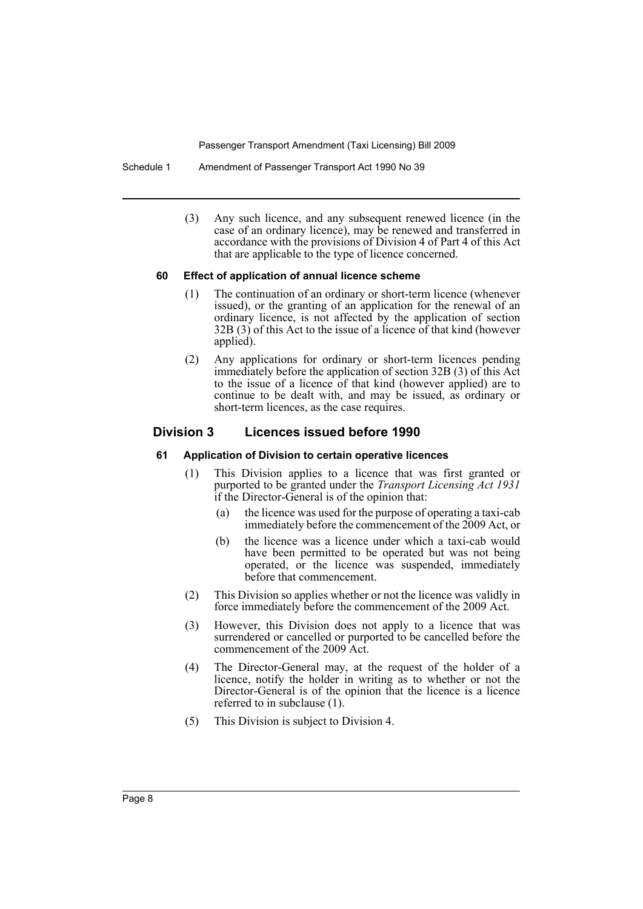Schedule 1 Amendment of Passenger Transport Act 1990 No 39

(3) Any such licence, and any subsequent renewed licence (in the case of an ordinary licence), may be renewed and transferred in accordance with the provisions of Division 4 of Part 4 of this Act that are applicable to the type of licence concerned.

### **60 Effect of application of annual licence scheme**

- (1) The continuation of an ordinary or short-term licence (whenever issued), or the granting of an application for the renewal of an ordinary licence, is not affected by the application of section 32B (3) of this Act to the issue of a licence of that kind (however applied).
- (2) Any applications for ordinary or short-term licences pending immediately before the application of section 32B (3) of this Act to the issue of a licence of that kind (however applied) are to continue to be dealt with, and may be issued, as ordinary or short-term licences, as the case requires.

# **Division 3 Licences issued before 1990**

### **61 Application of Division to certain operative licences**

- (1) This Division applies to a licence that was first granted or purported to be granted under the *Transport Licensing Act 1931* if the Director-General is of the opinion that:
	- (a) the licence was used for the purpose of operating a taxi-cab immediately before the commencement of the 2009 Act, or
	- (b) the licence was a licence under which a taxi-cab would have been permitted to be operated but was not being operated, or the licence was suspended, immediately before that commencement.
- (2) This Division so applies whether or not the licence was validly in force immediately before the commencement of the 2009 Act.
- (3) However, this Division does not apply to a licence that was surrendered or cancelled or purported to be cancelled before the commencement of the 2009 Act.
- (4) The Director-General may, at the request of the holder of a licence, notify the holder in writing as to whether or not the Director-General is of the opinion that the licence is a licence referred to in subclause (1).
- (5) This Division is subject to Division 4.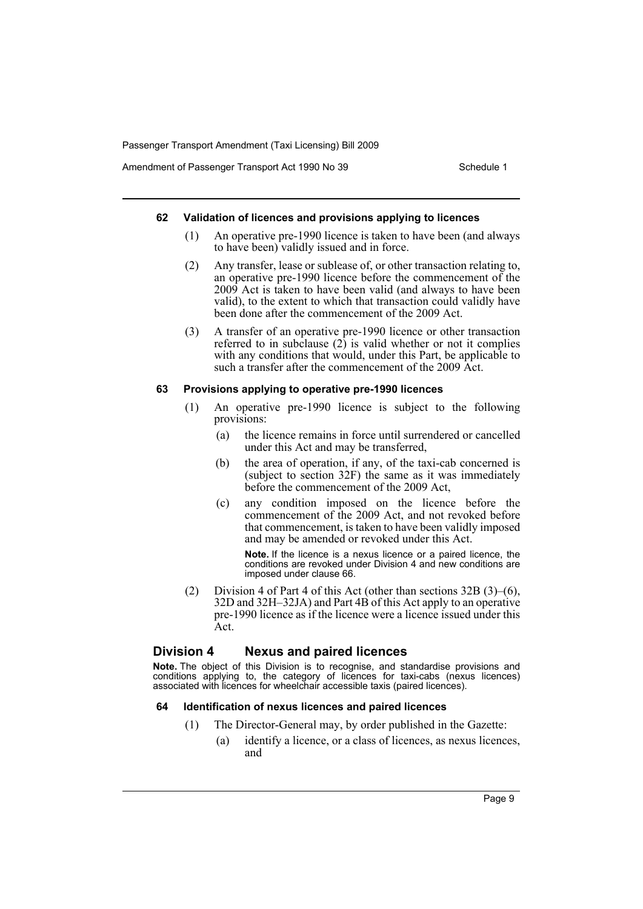Amendment of Passenger Transport Act 1990 No 39 Schedule 1

#### **62 Validation of licences and provisions applying to licences**

- (1) An operative pre-1990 licence is taken to have been (and always to have been) validly issued and in force.
- (2) Any transfer, lease or sublease of, or other transaction relating to, an operative pre-1990 licence before the commencement of the 2009 Act is taken to have been valid (and always to have been valid), to the extent to which that transaction could validly have been done after the commencement of the 2009 Act.
- (3) A transfer of an operative pre-1990 licence or other transaction referred to in subclause  $(2)$  is valid whether or not it complies with any conditions that would, under this Part, be applicable to such a transfer after the commencement of the 2009 Act.

### **63 Provisions applying to operative pre-1990 licences**

- (1) An operative pre-1990 licence is subject to the following provisions:
	- (a) the licence remains in force until surrendered or cancelled under this Act and may be transferred,
	- (b) the area of operation, if any, of the taxi-cab concerned is (subject to section 32F) the same as it was immediately before the commencement of the 2009 Act,
	- (c) any condition imposed on the licence before the commencement of the 2009 Act, and not revoked before that commencement, is taken to have been validly imposed and may be amended or revoked under this Act.

**Note.** If the licence is a nexus licence or a paired licence, the conditions are revoked under Division 4 and new conditions are imposed under clause 66.

(2) Division 4 of Part 4 of this Act (other than sections  $32B(3)$ –(6), 32D and 32H–32JA) and Part 4B of this Act apply to an operative pre-1990 licence as if the licence were a licence issued under this Act.

# **Division 4 Nexus and paired licences**

**Note.** The object of this Division is to recognise, and standardise provisions and conditions applying to, the category of licences for taxi-cabs (nexus licences) associated with licences for wheelchair accessible taxis (paired licences).

### **64 Identification of nexus licences and paired licences**

- (1) The Director-General may, by order published in the Gazette:
	- (a) identify a licence, or a class of licences, as nexus licences, and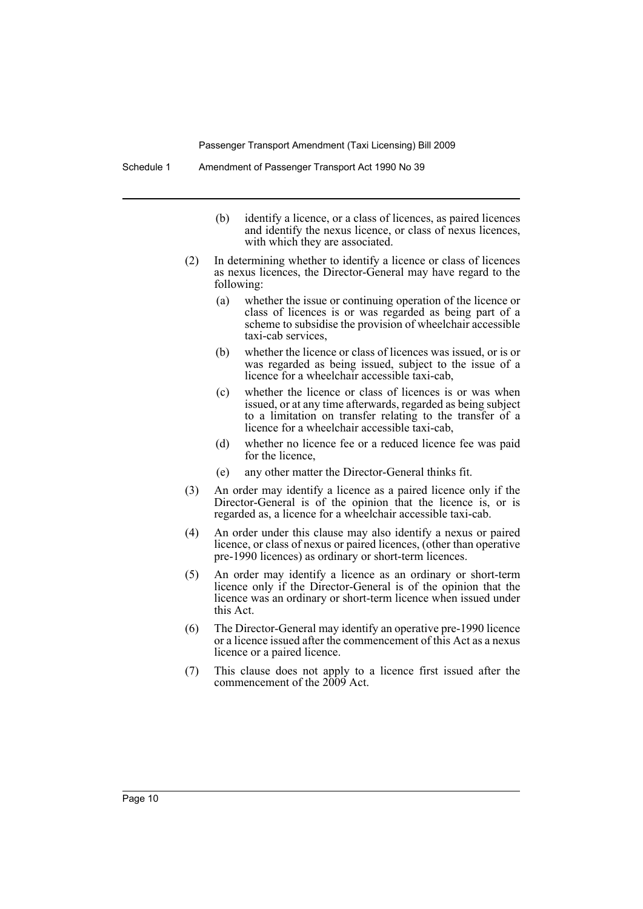- (b) identify a licence, or a class of licences, as paired licences and identify the nexus licence, or class of nexus licences, with which they are associated.
- (2) In determining whether to identify a licence or class of licences as nexus licences, the Director-General may have regard to the following:
	- (a) whether the issue or continuing operation of the licence or class of licences is or was regarded as being part of a scheme to subsidise the provision of wheelchair accessible taxi-cab services,
	- (b) whether the licence or class of licences was issued, or is or was regarded as being issued, subject to the issue of a licence for a wheelchair accessible taxi-cab,
	- (c) whether the licence or class of licences is or was when issued, or at any time afterwards, regarded as being subject to a limitation on transfer relating to the transfer of a licence for a wheelchair accessible taxi-cab,
	- (d) whether no licence fee or a reduced licence fee was paid for the licence,
	- (e) any other matter the Director-General thinks fit.
- (3) An order may identify a licence as a paired licence only if the Director-General is of the opinion that the licence is, or is regarded as, a licence for a wheelchair accessible taxi-cab.
- (4) An order under this clause may also identify a nexus or paired licence, or class of nexus or paired licences, (other than operative pre-1990 licences) as ordinary or short-term licences.
- (5) An order may identify a licence as an ordinary or short-term licence only if the Director-General is of the opinion that the licence was an ordinary or short-term licence when issued under this Act.
- (6) The Director-General may identify an operative pre-1990 licence or a licence issued after the commencement of this Act as a nexus licence or a paired licence.
- (7) This clause does not apply to a licence first issued after the commencement of the 2009 Act.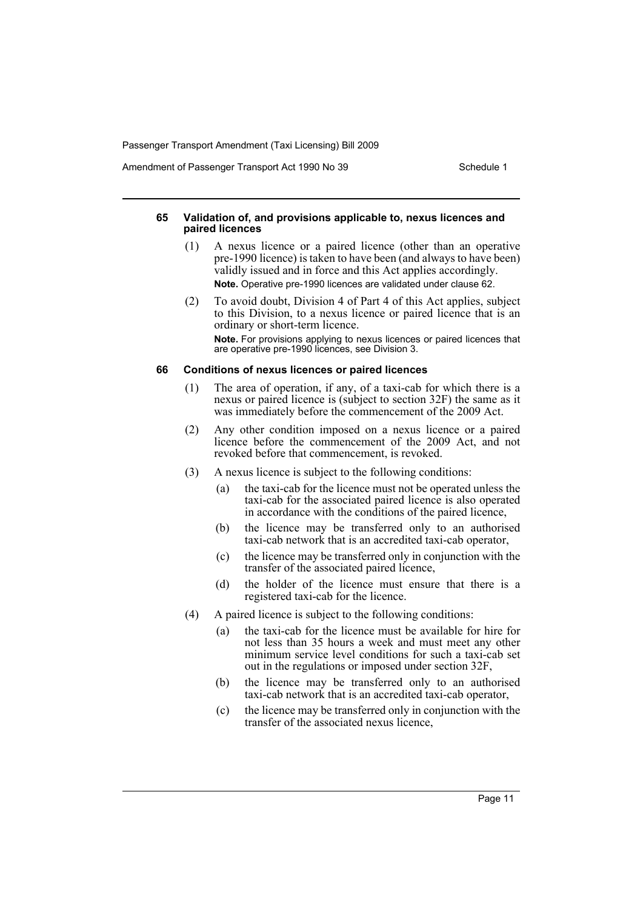Amendment of Passenger Transport Act 1990 No 39 Schedule 1

### **65 Validation of, and provisions applicable to, nexus licences and paired licences**

- (1) A nexus licence or a paired licence (other than an operative pre-1990 licence) is taken to have been (and always to have been) validly issued and in force and this Act applies accordingly. **Note.** Operative pre-1990 licences are validated under clause 62.
- (2) To avoid doubt, Division 4 of Part 4 of this Act applies, subject to this Division, to a nexus licence or paired licence that is an ordinary or short-term licence. **Note.** For provisions applying to nexus licences or paired licences that are operative pre-1990 licences, see Division 3.

### **66 Conditions of nexus licences or paired licences**

- (1) The area of operation, if any, of a taxi-cab for which there is a nexus or paired licence is (subject to section 32F) the same as it was immediately before the commencement of the 2009 Act.
- (2) Any other condition imposed on a nexus licence or a paired licence before the commencement of the 2009 Act, and not revoked before that commencement, is revoked.
- (3) A nexus licence is subject to the following conditions:
	- (a) the taxi-cab for the licence must not be operated unless the taxi-cab for the associated paired licence is also operated in accordance with the conditions of the paired licence,
	- (b) the licence may be transferred only to an authorised taxi-cab network that is an accredited taxi-cab operator,
	- (c) the licence may be transferred only in conjunction with the transfer of the associated paired licence,
	- (d) the holder of the licence must ensure that there is a registered taxi-cab for the licence.
- (4) A paired licence is subject to the following conditions:
	- (a) the taxi-cab for the licence must be available for hire for not less than 35 hours a week and must meet any other minimum service level conditions for such a taxi-cab set out in the regulations or imposed under section 32F,
	- (b) the licence may be transferred only to an authorised taxi-cab network that is an accredited taxi-cab operator,
	- (c) the licence may be transferred only in conjunction with the transfer of the associated nexus licence,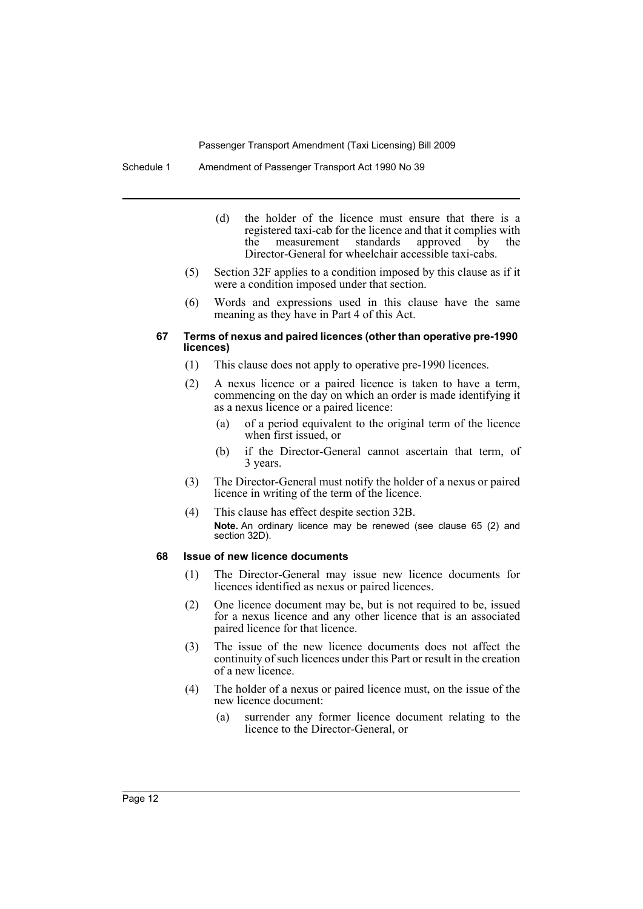Schedule 1 Amendment of Passenger Transport Act 1990 No 39

- (d) the holder of the licence must ensure that there is a registered taxi-cab for the licence and that it complies with the measurement standards approved by the Director-General for wheelchair accessible taxi-cabs.
- (5) Section 32F applies to a condition imposed by this clause as if it were a condition imposed under that section.
- (6) Words and expressions used in this clause have the same meaning as they have in Part 4 of this Act.

### **67 Terms of nexus and paired licences (other than operative pre-1990 licences)**

- (1) This clause does not apply to operative pre-1990 licences.
- (2) A nexus licence or a paired licence is taken to have a term, commencing on the day on which an order is made identifying it as a nexus licence or a paired licence:
	- (a) of a period equivalent to the original term of the licence when first issued, or
	- (b) if the Director-General cannot ascertain that term, of 3 years.
- (3) The Director-General must notify the holder of a nexus or paired licence in writing of the term of the licence.
- (4) This clause has effect despite section 32B. **Note.** An ordinary licence may be renewed (see clause 65 (2) and section 32D).

### **68 Issue of new licence documents**

- (1) The Director-General may issue new licence documents for licences identified as nexus or paired licences.
- (2) One licence document may be, but is not required to be, issued for a nexus licence and any other licence that is an associated paired licence for that licence.
- (3) The issue of the new licence documents does not affect the continuity of such licences under this Part or result in the creation of a new licence.
- (4) The holder of a nexus or paired licence must, on the issue of the new licence document:
	- (a) surrender any former licence document relating to the licence to the Director-General, or